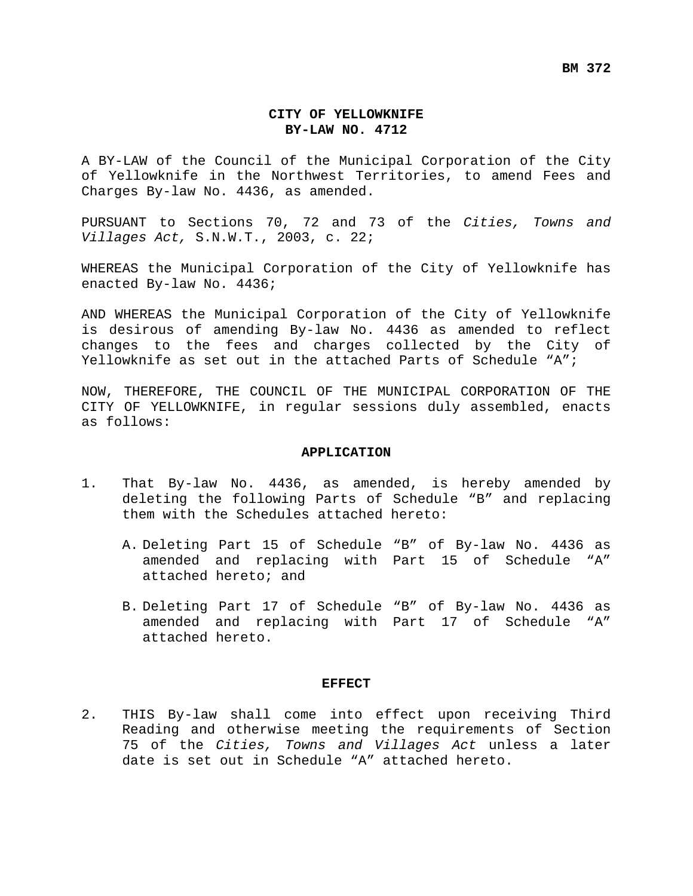#### **CITY OF YELLOWKNIFE BY-LAW NO. 4712**

A BY-LAW of the Council of the Municipal Corporation of the City of Yellowknife in the Northwest Territories, to amend Fees and Charges By-law No. 4436, as amended.

PURSUANT to Sections 70, 72 and 73 of the *Cities, Towns and Villages Act,* S.N.W.T., 2003, c. 22;

WHEREAS the Municipal Corporation of the City of Yellowknife has enacted By-law No. 4436;

AND WHEREAS the Municipal Corporation of the City of Yellowknife is desirous of amending By-law No. 4436 as amended to reflect changes to the fees and charges collected by the City of Yellowknife as set out in the attached Parts of Schedule "A";

NOW, THEREFORE, THE COUNCIL OF THE MUNICIPAL CORPORATION OF THE CITY OF YELLOWKNIFE, in regular sessions duly assembled, enacts as follows:

#### **APPLICATION**

- 1. That By-law No. 4436, as amended, is hereby amended by deleting the following Parts of Schedule "B" and replacing them with the Schedules attached hereto:
	- A. Deleting Part 15 of Schedule "B" of By-law No. 4436 as amended and replacing with Part 15 of Schedule "A" attached hereto; and
	- B. Deleting Part 17 of Schedule "B" of By-law No. 4436 as amended and replacing with Part 17 of Schedule "A" attached hereto.

#### **EFFECT**

2. THIS By-law shall come into effect upon receiving Third Reading and otherwise meeting the requirements of Section 75 of the *Cities, Towns and Villages Act* unless a later date is set out in Schedule "A" attached hereto.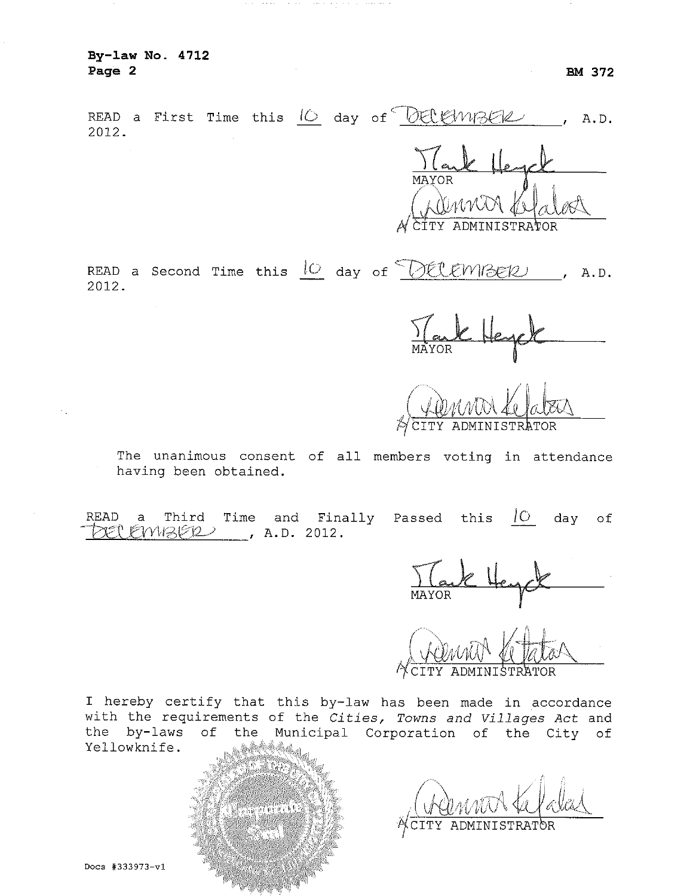READ a First Time this 10 day of DELEWIBER  $, A.D.$ 2012.

READ a Second Time this  $\frac{10}{10}$  day of  $\frac{10}{100}$  (*RELEWIBER*), A.D. 2012.

 $\frac{1}{\frac{1}{\frac{MAYOR}{}}$ 

CITY ADMINISTRATOR

The unanimous consent of all members voting in attendance having been obtained.

READ Time and Finally Passed this  $|C|$  day of Third  $a$  $DER$  $EMBER$ , A.D. 2012.

I hereby certify that this by-law has been made in accordance with the requirements of the Cities, Towns and Villages Act and the by-laws of the Municipal Corporation of the City of Yellowknife. barra

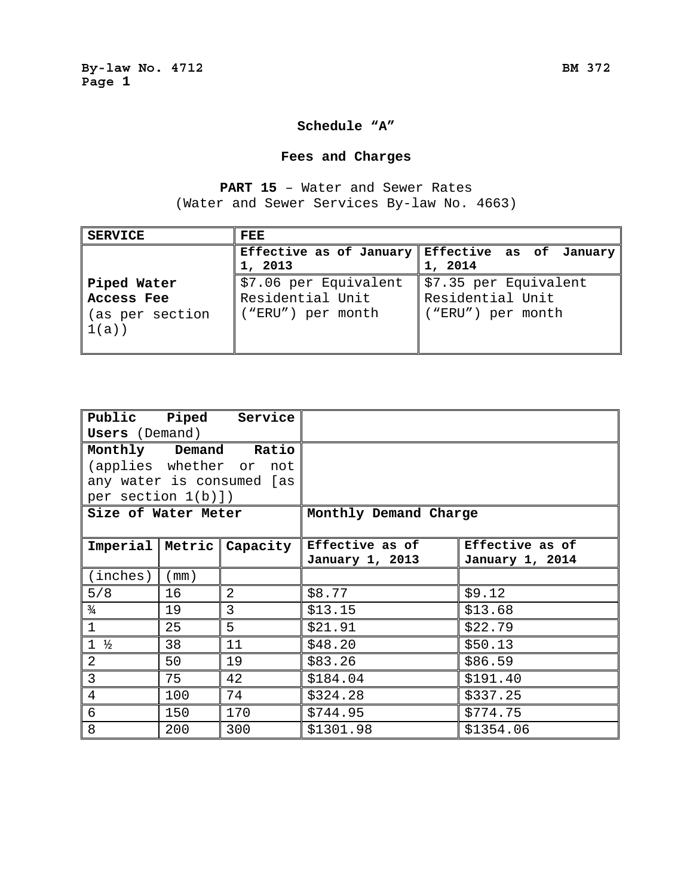#### **Schedule "A"**

# **Fees and Charges**

**PART 15** – Water and Sewer Rates (Water and Sewer Services By-law No. 4663)

| <b>SERVICE</b>          | <b>FEE</b>            |                                                 |
|-------------------------|-----------------------|-------------------------------------------------|
|                         |                       | Effective as of January Effective as of January |
|                         | 1, 2013               | 1, 2014                                         |
| Piped Water             | \$7.06 per Equivalent | \$7.35 per Equivalent                           |
| <b>Access Fee</b>       | Residential Unit      | Residential Unit                                |
| (as per section<br>1(a) | ("ERU") per month     | ("ERU") per month                               |
|                         |                       |                                                 |

| <b>Users</b> (Demand) |      | Public Piped Service      |                       |                 |
|-----------------------|------|---------------------------|-----------------------|-----------------|
|                       |      | Monthly Demand Ratio      |                       |                 |
|                       |      | (applies whether or not   |                       |                 |
|                       |      | any water is consumed [as |                       |                 |
| per section $1(b)$ ]) |      |                           |                       |                 |
| Size of Water Meter   |      |                           | Monthly Demand Charge |                 |
|                       |      |                           |                       |                 |
| $Imperial$   Metric   |      | Capacity                  | Effective as of       | Effective as of |
|                       |      |                           | January 1, 2013       | January 1, 2014 |
| (inches)              | (mm) |                           |                       |                 |
| 5/8                   | 16   | 2                         | \$8.77                | \$9.12          |
| $\frac{3}{4}$         | 19   | 3                         | \$13.15               | \$13.68         |
| $\mathbf{1}$          | 25   | 5                         | \$21.91               | \$22.79         |
| $1 \frac{1}{2}$       | 38   | 11                        | \$48.20               | \$50.13         |
| $\overline{2}$        | 50   | 19                        | \$83.26               | \$86.59         |
| $\overline{3}$        | 75   | 42                        | \$184.04              | \$191.40        |
| 4                     | 100  | 74                        | \$324.28              | \$337.25        |
| 6                     | 150  | 170                       | \$744.95              | \$774.75        |
| 8                     | 200  | 300                       | \$1301.98             | \$1354.06       |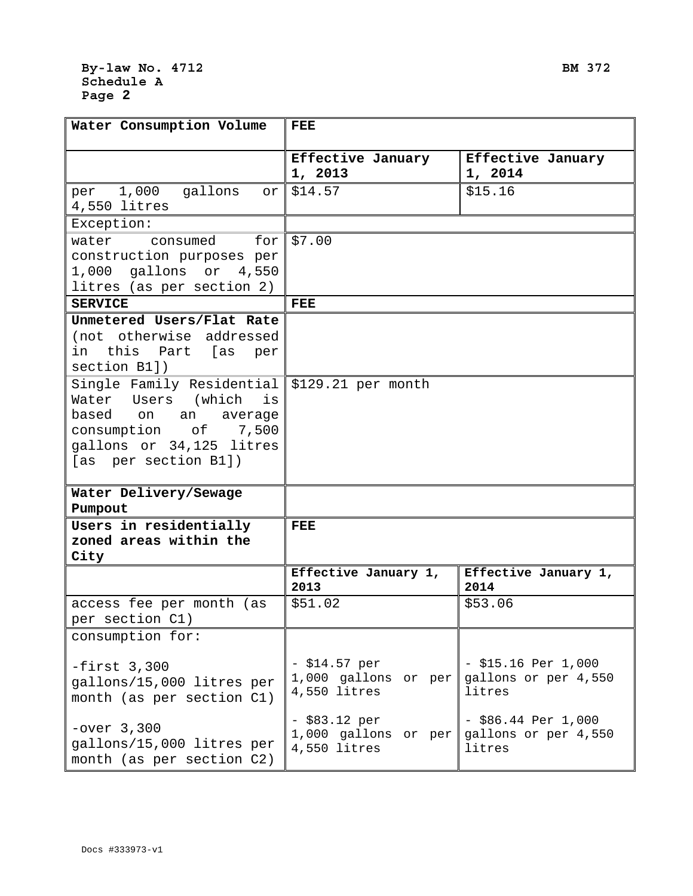## **By-law No. 4712 BM 372 Schedule A Page 2**

| Water Consumption Volume                                                                                                                                 | <b>FEE</b>                                               |                                                         |
|----------------------------------------------------------------------------------------------------------------------------------------------------------|----------------------------------------------------------|---------------------------------------------------------|
|                                                                                                                                                          | Effective January<br>1, 2013                             | Effective January<br>1, 2014                            |
| per 1,000<br>gallons<br>or<br>4,550 litres                                                                                                               | \$14.57                                                  | \$15.16                                                 |
| Exception:                                                                                                                                               |                                                          |                                                         |
| consumed for<br>water<br>construction purposes per<br>1,000 gallons or 4,550<br>litres (as per section 2)                                                | \$7.00                                                   |                                                         |
| <b>SERVICE</b>                                                                                                                                           | <b>FEE</b>                                               |                                                         |
| Unmetered Users/Flat Rate<br>(not otherwise addressed<br>this Part [as<br>in<br>per<br>section B1])                                                      |                                                          |                                                         |
| Single Family Residential<br>Water Users (which<br>is<br>based on an average<br>consumption of 7,500<br>gallons or 34,125 litres<br>[as per section B1]) | \$129.21 per month                                       |                                                         |
| Water Delivery/Sewage<br>Pumpout                                                                                                                         |                                                          |                                                         |
| Users in residentially<br>zoned areas within the<br>City                                                                                                 | <b>FEE</b>                                               |                                                         |
|                                                                                                                                                          | Effective January 1,<br>2013                             | Effective January 1,<br>2014                            |
| access fee per month (as<br>per section C1)                                                                                                              | \$51.02                                                  | \$53.06                                                 |
| consumption for:                                                                                                                                         |                                                          |                                                         |
| $-first$ 3,300<br>gallons/15,000 litres per<br>month (as per section C1)                                                                                 | $- $14.57 per$<br>1,000 gallons or $per$<br>4,550 litres | $-$ \$15.16 Per 1,000<br>gallons or per 4,550<br>litres |
| $-over$ 3,300<br>gallons/15,000 litres per<br>month (as per section C2)                                                                                  | $-$ \$83.12 per<br>1,000 gallons or per<br>4,550 litres  | $-$ \$86.44 Per 1,000<br>gallons or per 4,550<br>litres |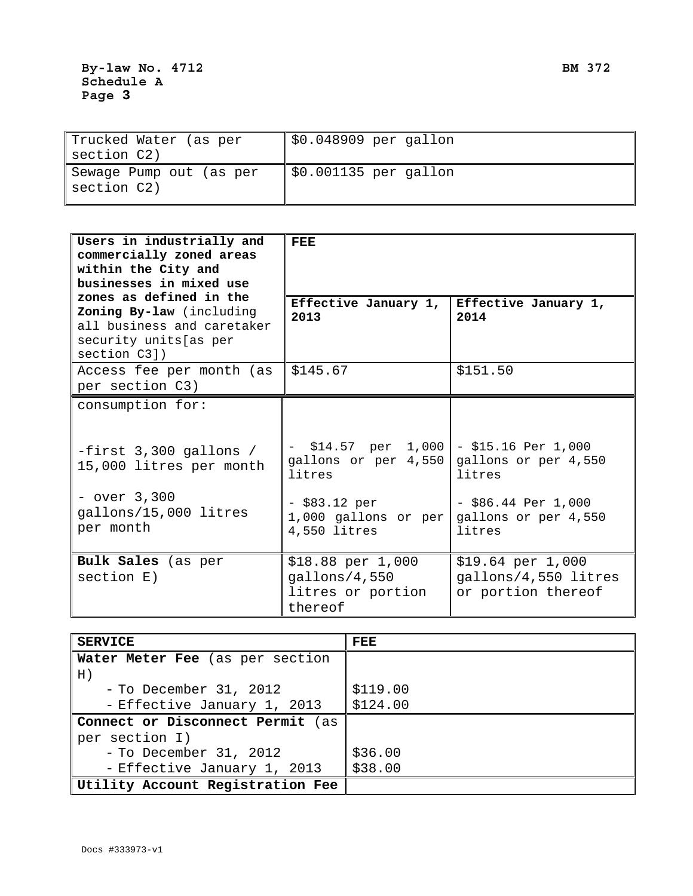| Trucked Water (as per<br>section C2)   | \$0.048909 per gallon  |
|----------------------------------------|------------------------|
| Sewage Pump out (as per<br>section C2) | $$0.001135$ per gallon |

| Users in industrially and<br>commercially zoned areas<br>within the City and<br>businesses in mixed use<br>zones as defined in the | <b>FEE</b>                                                         |                                                                 |
|------------------------------------------------------------------------------------------------------------------------------------|--------------------------------------------------------------------|-----------------------------------------------------------------|
| Zoning By-law (including<br>all business and caretaker<br>security units [as per<br>section C3])                                   | Effective January 1,<br>2013                                       | Effective January 1,<br>2014                                    |
| Access fee per month (as<br>per section C3)                                                                                        | \$145.67                                                           | \$151.50                                                        |
| consumption for:                                                                                                                   |                                                                    |                                                                 |
| $-first$ 3,300 gallons /<br>15,000 litres per month                                                                                | $-$ \$14.57 per 1,000<br>gallons or per 4,550<br>litres            | $-$ \$15.16 Per 1,000<br>gallons or per 4,550<br>litres         |
| $-$ over $3,300$<br>gallons/15,000 litres<br>per month                                                                             | - \$83.12 per<br>1,000 gallons or per<br>4,550 litres              | $-$ \$86.44 Per 1,000<br>gallons or per 4,550<br>litres         |
| Bulk Sales (as per<br>section E)                                                                                                   | \$18.88 per 1,000<br>gallons/4,550<br>litres or portion<br>thereof | \$19.64~per~1,000<br>gallons/4,550 litres<br>or portion thereof |

| <b>SERVICE</b>                         | <b>FEE</b> |
|----------------------------------------|------------|
| <b>Water Meter Fee</b> (as per section |            |
| H)                                     |            |
| $-$ To December 31, 2012               | \$119.00   |
| - Effective January 1, 2013            | \$124.00   |
| Connect or Disconnect Permit (as       |            |
| per section I)                         |            |
| - To December 31, 2012                 | \$36.00    |
| - Effective January 1, 2013            | \$38.00    |
| Utility Account Registration Fee       |            |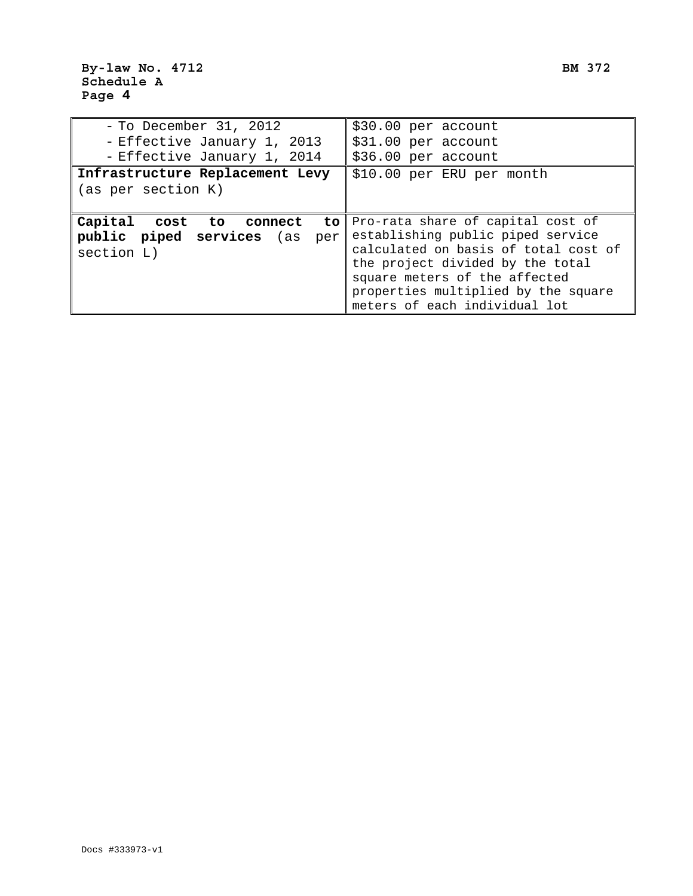| $-$ To December 31, 2012<br>- Effective January 1, 2013                            | \$30.00 per account<br>\$31.00 per account                                                                                                                                                                                                                     |
|------------------------------------------------------------------------------------|----------------------------------------------------------------------------------------------------------------------------------------------------------------------------------------------------------------------------------------------------------------|
| - Effective January 1, 2014                                                        | \$36.00 per account                                                                                                                                                                                                                                            |
| Infrastructure Replacement Levy<br>\$10.00 per ERU per month<br>(as per section K) |                                                                                                                                                                                                                                                                |
| Capital<br>cost to connect<br>public piped services (as<br>per<br>section L)       | to Pro-rata share of capital cost of<br>establishing public piped service<br>calculated on basis of total cost of<br>the project divided by the total<br>square meters of the affected<br>properties multiplied by the square<br>meters of each individual lot |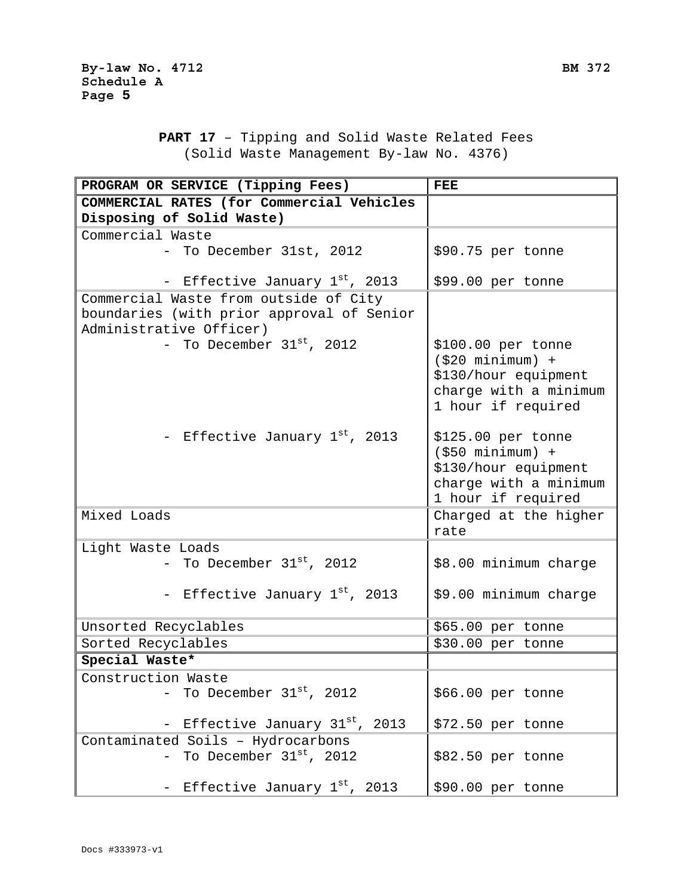**PART 17** – Tipping and Solid Waste Related Fees (Solid Waste Management By-law No. 4376)

| PROGRAM OR SERVICE (Tipping Fees)         | <b>FEE</b>            |
|-------------------------------------------|-----------------------|
| COMMERCIAL RATES (for Commercial Vehicles |                       |
| Disposing of Solid Waste)                 |                       |
| Commercial Waste                          |                       |
| - To December 31st, 2012                  | \$90.75 per tonne     |
|                                           |                       |
| - Effective January 1st, 2013             | \$99.00 per tonne     |
| Commercial Waste from outside of City     |                       |
| boundaries (with prior approval of Senior |                       |
| Administrative Officer)                   |                       |
| - To December $31^{st}$ , 2012            | \$100.00 per tonne    |
|                                           | $( $20$ minimum) +    |
|                                           | \$130/hour equipment  |
|                                           | charge with a minimum |
|                                           | 1 hour if required    |
| - Effective January 1st, 2013             | \$125.00 per tonne    |
|                                           | $(550 minimum) +$     |
|                                           | \$130/hour equipment  |
|                                           | charge with a minimum |
|                                           | 1 hour if required    |
| Mixed Loads                               | Charged at the higher |
|                                           | rate                  |
| Light Waste Loads                         |                       |
| - To December $31^\text{st}$ , 2012       | \$8.00 minimum charge |
|                                           |                       |
| - Effective January 1st, 2013             | \$9.00 minimum charge |
|                                           |                       |
| Unsorted Recyclables                      | \$65.00 per tonne     |
| Sorted Recyclables                        | \$30.00 per tonne     |
| Special Waste*                            |                       |
| Construction Waste                        |                       |
| To December 31st, 2012                    | \$66.00 per tonne     |
|                                           |                       |
| Effective January 31st, 2013              | \$72.50 per tonne     |
| Contaminated Soils - Hydrocarbons         |                       |
| To December $31^{st}$ , 2012              | \$82.50 per tonne     |
|                                           |                       |
| Effective January $1st$ , 2013            | \$90.00 per tonne     |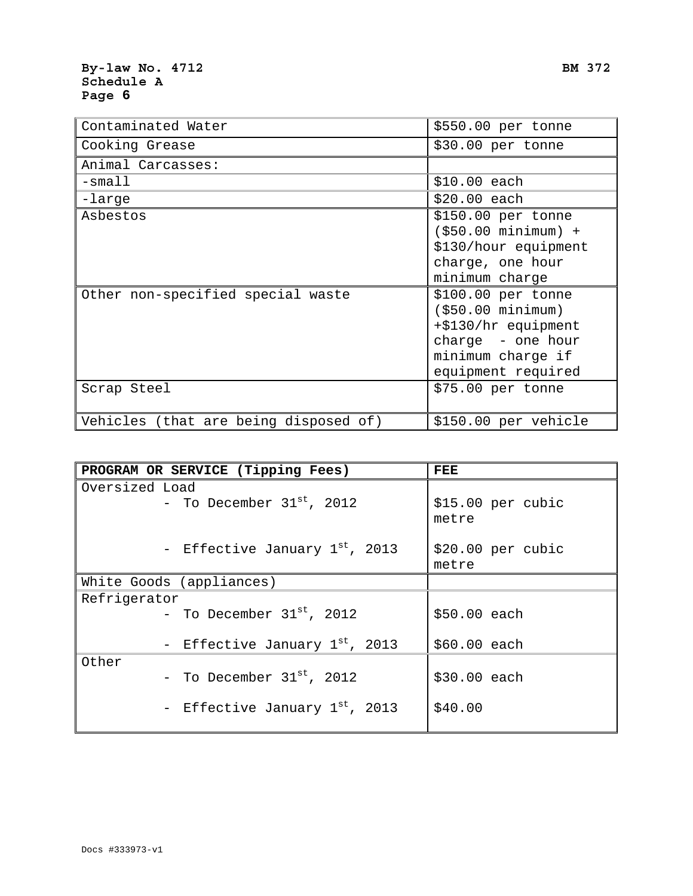## **By-law No. 4712 BM 372 Schedule A Page 6**

| Contaminated Water                    | \$550.00 per tonne                                                                                                               |
|---------------------------------------|----------------------------------------------------------------------------------------------------------------------------------|
| Cooking Grease                        | \$30.00 per tonne                                                                                                                |
| Animal Carcasses:                     |                                                                                                                                  |
| $-$ small                             | $$10.00$ each                                                                                                                    |
| -large                                | \$20.00 each                                                                                                                     |
| Asbestos                              | \$150.00 per tonne<br>$(550.00 minimum) +$<br>\$130/hour equipment<br>charge, one hour<br>minimum charge                         |
| Other non-specified special waste     | $$100.00$ per tonne<br>( \$50.00 minimum)<br>+\$130/hr equipment<br>charge - one hour<br>minimum charge if<br>equipment required |
| Scrap Steel                           | \$75.00 per tonne                                                                                                                |
| Vehicles (that are being disposed of) | \$150.00 per vehicle                                                                                                             |

| PROGRAM OR SERVICE (Tipping Fees) | FEE                        |
|-----------------------------------|----------------------------|
| Oversized Load                    |                            |
| - To December $31^{st}$ , 2012    | \$15.00 per cubic<br>metre |
| - Effective January 1st, 2013     | \$20.00~per~cubic<br>metre |
| White Goods (appliances)          |                            |
| Refrigerator                      |                            |
| - To December $31^{st}$ , 2012    | \$50.00 each               |
| - Effective January 1st, 2013     | \$60.00 each               |
| Other                             |                            |
| - To December $31^{st}$ , 2012    | \$30.00 each               |
| - Effective January 1st, 2013     | \$40.00                    |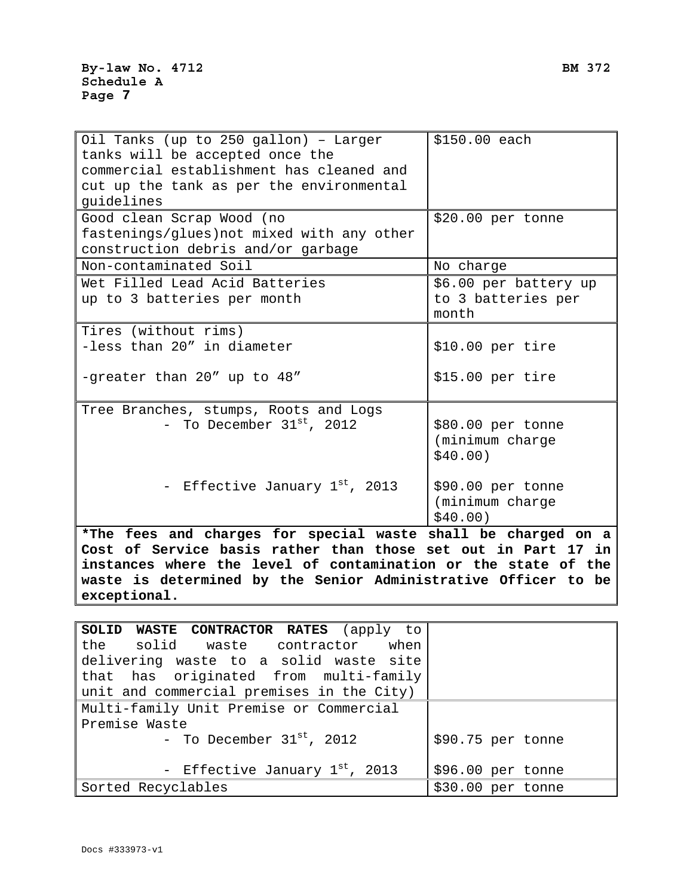| Oil Tanks (up to 250 gallon) - Larger<br>tanks will be accepted once the<br>commercial establishment has cleaned and<br>cut up the tank as per the environmental<br>guidelines | \$150.00 each                                        |
|--------------------------------------------------------------------------------------------------------------------------------------------------------------------------------|------------------------------------------------------|
| Good clean Scrap Wood (no<br>fastenings/glues) not mixed with any other<br>construction debris and/or garbage                                                                  | \$20.00 per tonne                                    |
| Non-contaminated Soil                                                                                                                                                          | No charge                                            |
| Wet Filled Lead Acid Batteries<br>up to 3 batteries per month                                                                                                                  | \$6.00 per battery up<br>to 3 batteries per<br>month |
| Tires (without rims)<br>-less than 20" in diameter<br>-greater than 20" up to 48"                                                                                              | \$10.00~per~tire<br>\$15.00~per~tire                 |
| Tree Branches, stumps, Roots and Logs<br>- To December $31^{st}$ , 2012                                                                                                        | \$80.00 per tonne<br>(minimum charge<br>\$40.00)     |
| - Effective January 1st, 2013                                                                                                                                                  | \$90.00 per tonne<br>(minimum charge<br>\$40.00)     |

**\*The fees and charges for special waste shall be charged on a Cost of Service basis rather than those set out in Part 17 in instances where the level of contamination or the state of the waste is determined by the Senior Administrative Officer to be exceptional.** 

| SOLID WASTE CONTRACTOR RATES (apply to    |                   |
|-------------------------------------------|-------------------|
| the solid waste contractor when           |                   |
| delivering waste to a solid waste site    |                   |
| that has originated from multi-family     |                   |
| unit and commercial premises in the City) |                   |
| Multi-family Unit Premise or Commercial   |                   |
| Premise Waste                             |                   |
| - To December $31^\text{st}$ , 2012       | \$90.75 per tonne |
| - Effective January 1st, 2013             | \$96.00 per tonne |
| Sorted Recyclables                        | \$30.00 per tonne |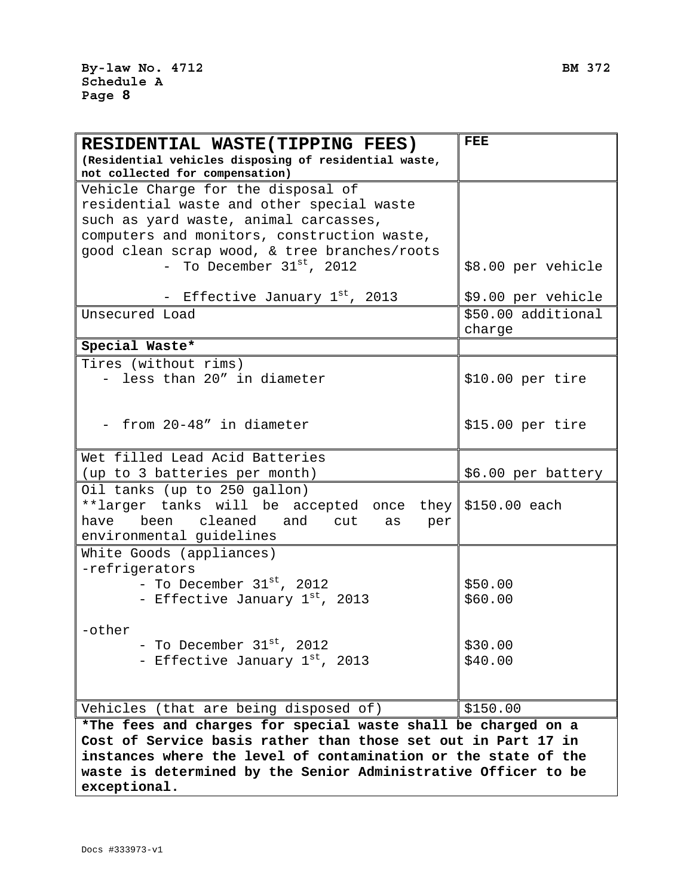F

| RESIDENTIAL WASTE(TIPPING FEES)                                                                                                | FEE                |  |
|--------------------------------------------------------------------------------------------------------------------------------|--------------------|--|
| (Residential vehicles disposing of residential waste,                                                                          |                    |  |
| not collected for compensation)                                                                                                |                    |  |
| Vehicle Charge for the disposal of                                                                                             |                    |  |
| residential waste and other special waste                                                                                      |                    |  |
| such as yard waste, animal carcasses,                                                                                          |                    |  |
| computers and monitors, construction waste,                                                                                    |                    |  |
| good clean scrap wood, & tree branches/roots                                                                                   |                    |  |
| - To December $31^\text{st}$ , 2012                                                                                            | \$8.00 per vehicle |  |
| - Effective January 1st, 2013                                                                                                  | \$9.00 per vehicle |  |
| Unsecured Load                                                                                                                 | \$50.00 additional |  |
|                                                                                                                                | charge             |  |
| Special Waste*                                                                                                                 |                    |  |
| Tires (without rims)                                                                                                           |                    |  |
| - less than 20" in diameter                                                                                                    | \$10.00~per~tire   |  |
|                                                                                                                                |                    |  |
|                                                                                                                                |                    |  |
| - from 20-48" in diameter                                                                                                      | \$15.00~per~tire   |  |
|                                                                                                                                |                    |  |
| Wet filled Lead Acid Batteries                                                                                                 |                    |  |
| (up to 3 batteries per month)                                                                                                  | \$6.00 per battery |  |
| Oil tanks (up to 250 gallon)                                                                                                   |                    |  |
| **larger tanks will be accepted once they \$150.00 each                                                                        |                    |  |
| been cleaned and cut<br>have<br>as<br>per                                                                                      |                    |  |
| environmental guidelines                                                                                                       |                    |  |
| White Goods (appliances)                                                                                                       |                    |  |
| -refrigerators                                                                                                                 |                    |  |
| - To December $31^{st}$ , 2012                                                                                                 | \$50.00            |  |
| - Effective January 1st, 2013                                                                                                  | \$60.00            |  |
|                                                                                                                                |                    |  |
| -other                                                                                                                         |                    |  |
| - To December $31^\text{st}$ , 2012                                                                                            | \$30.00            |  |
| - Effective January 1st, 2013                                                                                                  | \$40.00            |  |
|                                                                                                                                |                    |  |
|                                                                                                                                |                    |  |
| Vehicles (that are being disposed of)                                                                                          | \$150.00           |  |
| *The fees and charges for special waste shall be charged on a<br>Cost of Service basis rather than those set out in Part 17 in |                    |  |
| instances where the level of contamination or the state of the                                                                 |                    |  |
| waste is determined by the Senior Administrative Officer to be                                                                 |                    |  |
| exceptional.                                                                                                                   |                    |  |
|                                                                                                                                |                    |  |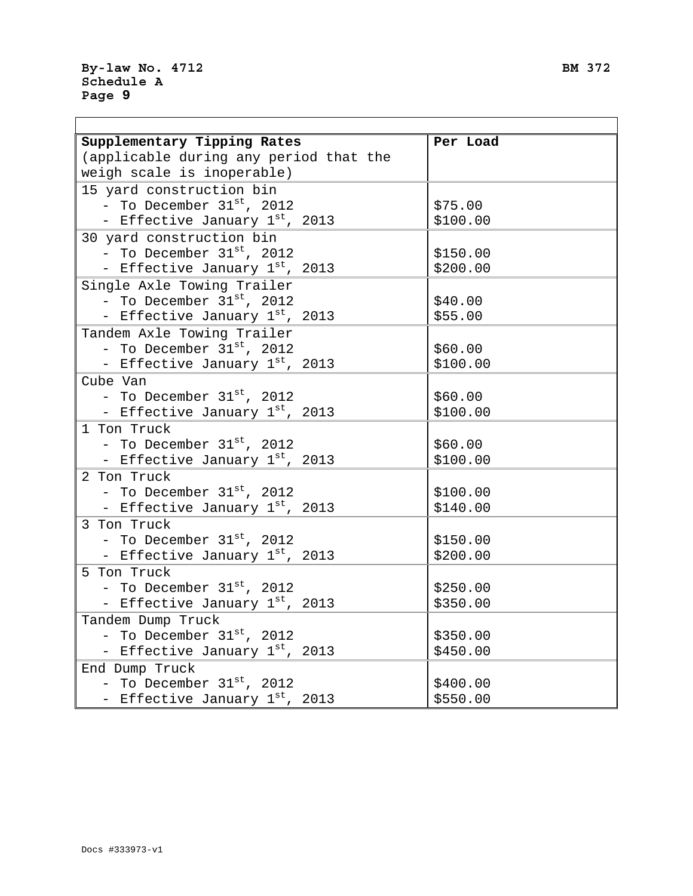| Supplementary Tipping Rates                | Per Load |  |
|--------------------------------------------|----------|--|
| (applicable during any period that the     |          |  |
| weigh scale is inoperable)                 |          |  |
| 15 yard construction bin                   |          |  |
| - To December $31^\text{st}$ , 2012        | \$75.00  |  |
| - Effective January 1st, 2013              | \$100.00 |  |
| 30 yard construction bin                   |          |  |
| - To December $31^\text{st}$ , 2012        | \$150.00 |  |
| - Effective January 1st, 2013              | \$200.00 |  |
| Single Axle Towing Trailer                 |          |  |
| - To December $31^{st}$ , 2012             | \$40.00  |  |
| - Effective January 1st, 2013              | \$55.00  |  |
| Tandem Axle Towing Trailer                 |          |  |
| - To December $31^{st}$ , 2012             | \$60.00  |  |
| - Effective January 1st, 2013              | \$100.00 |  |
| Cube Van                                   |          |  |
| - To December $31^{st}$ , 2012             | \$60.00  |  |
| - Effective January 1st, 2013              | \$100.00 |  |
| 1 Ton Truck                                |          |  |
| - To December $31^\text{st}$ , 2012        | \$60.00  |  |
| - Effective January 1st, 2013              | \$100.00 |  |
| 2 Ton Truck                                |          |  |
| - To December $31st$ , 2012                | \$100.00 |  |
| - Effective January 1st, 2013              | \$140.00 |  |
| 3 Ton Truck                                |          |  |
| - To December $31st$ , 2012                | \$150.00 |  |
| - Effective January 1st, 2013              | \$200.00 |  |
| 5 Ton Truck                                |          |  |
| - To December $31^\text{st}$ , 2012        | \$250.00 |  |
| - Effective January 1st, 2013              | \$350.00 |  |
| Tandem Dump Truck                          |          |  |
| - To December 31 <sup>st</sup> , 2012      | \$350.00 |  |
| - Effective January 1 <sup>st</sup> , 2013 | \$450.00 |  |
| End Dump Truck                             |          |  |
| - To December 31st, 2012                   | \$400.00 |  |
| - Effective January 1st, 2013              | \$550.00 |  |